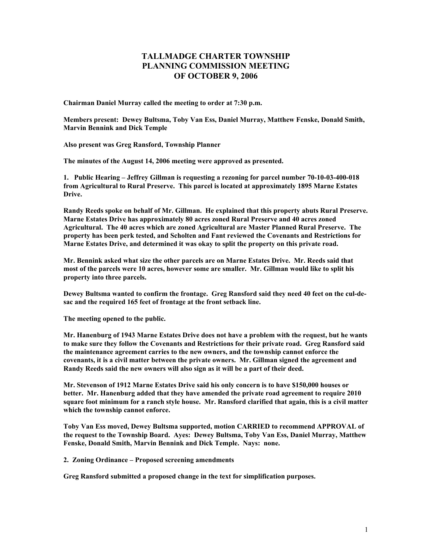## **TALLMADGE CHARTER TOWNSHIP PLANNING COMMISSION MEETING OF OCTOBER 9, 2006**

**Chairman Daniel Murray called the meeting to order at 7:30 p.m.** 

**Members present: Dewey Bultsma, Toby Van Ess, Daniel Murray, Matthew Fenske, Donald Smith, Marvin Bennink and Dick Temple** 

**Also present was Greg Ransford, Township Planner** 

**The minutes of the August 14, 2006 meeting were approved as presented.** 

**1. Public Hearing – Jeffrey Gillman is requesting a rezoning for parcel number 70-10-03-400-018 from Agricultural to Rural Preserve. This parcel is located at approximately 1895 Marne Estates Drive.** 

**Randy Reeds spoke on behalf of Mr. Gillman. He explained that this property abuts Rural Preserve. Marne Estates Drive has approximately 80 acres zoned Rural Preserve and 40 acres zoned Agricultural. The 40 acres which are zoned Agricultural are Master Planned Rural Preserve. The property has been perk tested, and Scholten and Fant reviewed the Covenants and Restrictions for Marne Estates Drive, and determined it was okay to split the property on this private road.** 

**Mr. Bennink asked what size the other parcels are on Marne Estates Drive. Mr. Reeds said that most of the parcels were 10 acres, however some are smaller. Mr. Gillman would like to split his property into three parcels.** 

**Dewey Bultsma wanted to confirm the frontage. Greg Ransford said they need 40 feet on the cul-desac and the required 165 feet of frontage at the front setback line.** 

**The meeting opened to the public.** 

**Mr. Hanenburg of 1943 Marne Estates Drive does not have a problem with the request, but he wants to make sure they follow the Covenants and Restrictions for their private road. Greg Ransford said the maintenance agreement carries to the new owners, and the township cannot enforce the covenants, it is a civil matter between the private owners. Mr. Gillman signed the agreement and Randy Reeds said the new owners will also sign as it will be a part of their deed.** 

**Mr. Stevenson of 1912 Marne Estates Drive said his only concern is to have \$150,000 houses or better. Mr. Hanenburg added that they have amended the private road agreement to require 2010 square foot minimum for a ranch style house. Mr. Ransford clarified that again, this is a civil matter which the township cannot enforce.** 

**Toby Van Ess moved, Dewey Bultsma supported, motion CARRIED to recommend APPROVAL of the request to the Township Board. Ayes: Dewey Bultsma, Toby Van Ess, Daniel Murray, Matthew Fenske, Donald Smith, Marvin Bennink and Dick Temple. Nays: none.** 

**2. Zoning Ordinance – Proposed screening amendments** 

**Greg Ransford submitted a proposed change in the text for simplification purposes.**